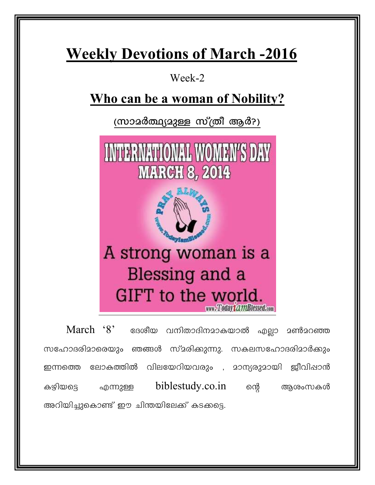# **Weekly Devotions of March -2016**

Week-2

# Who can be a woman of Nobility?

(സാമർത്ഥ്യമുള്ള സ്ത്രീ ആർ?)



 $March$   $8'$  ദേശീയ വനിതാദിനമാകയാൽ എല്ലാ മൺമറഞ്ഞ സഹോദരിമാരെയും ഞങ്ങൾ സ്മരിക്കുന്നു. സകലസഹോദരിമാർക്കും ഇന്നത്തെ ലോകത്തിൽ വിലയേറിയവരും , മാന്യരുമായി ജീവിഷാൻ biblestudy.co.in one കഴിയട്ടെ ആശംസകൾ എന്നുള്ള അറിയിച്ചുകൊണ്ട് ഈ ചിന്തയിലേക്ക് കടക്കട്ടെ.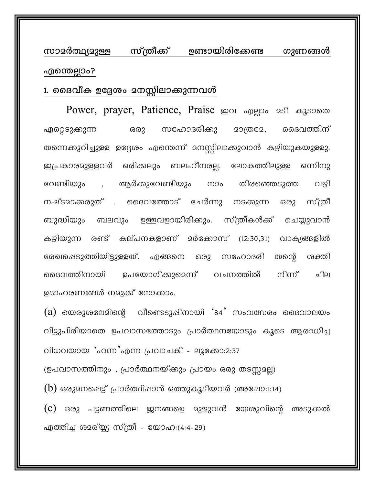സാമർത്ഥ്യമുള്ള സ്ത്രീക്ക് ഉണ്ടായിരിക്കേണ്ട ഗുണങ്ങൾ എന്തെല്ലാം?

#### 1. ദൈവീക ഉദ്ദേശം മനസ്സിലാക്കുന്നവൾ

Power, prayer, Patience, Praise mou apgo. 251 assoom സഹോദരിക്കു **20(ത3േ,** മൈവത്തിന് ഏറ്റെടുക്കുന്ന ഒരു തന്നെക്കുറിച്ചുള്ള ഉദ്ദേശം എന്തെന്ന് മനസ്സിലാക്കുവാൻ കഴിയുകയുള്ളു. ഇപ്രകാരമുളളവർ ഒരിക്കലും ബലഹീനരല്ല. ലോകത്തിലുള്ള ഒന്നിനു വേണ്ടിയും , ആർക്കുവേണ്ടിയും തിരഞ്ഞെടുത്ത ၮၥ၀ വഴി നഷ്ടമാക്കരുത് . ദൈവത്തോട് ചേർന്നു നടക്കുന്ന ഒരു സ്ത്രീ ബുദ്ധിയും ബലവും ഉള്ളവളായിരിക്കും. സ്ത്രീകൾക്ക് ചെയ്യുവാൻ കഴിയുന്ന രണ്ട് കല്പനകളാണ് മർക്കോസ് (12:30,31) വാക്യങ്ങളിൽ രേഖപ്പെടുത്തിയിട്ടുള്ളത്. എങ്ങനെ ഒരു സഹോദരി തന്റെ ശക്തി ഉപയോഗിക്കുമെന്ന് വചനത്തിൽ നിന്ന് ദൈവത്തിനായി விப ഉദാഹരണങ്ങൾ നമുക്ക് നോക്കാം.

 $\alpha$ ) യെരുശലേമിന്റെ വീണ്ടെടുപ്പിനായി '84' സംവത്സരം ദൈവാലയം വിട്ടുപിരിയാതെ ഉപവാസത്തോടും പ്രാർത്ഥനയോടും കൂടെ ആരാധിച്ച വിധവയായ 'ഹന്ന'എന്ന പ്രവാചകി - ലൂക്കോ:2;37

(ഉപവാസത്തിനും, പ്രാർത്ഥനയ്ക്കും പ്രായം ഒരു തടസ്സമല്ല)

 $(b)$  ഒരുമനപ്പെട്ട് പ്രാർത്ഥിഷാൻ ഒത്തുകൂടിയവർ (അഷോ:1:14)

 $\overline{c}$ ) ഒരു പട്ടണത്തിലെ ജനങ്ങളെ മുഴുവൻ യേശുവിന്റെ അടുക്കൽ എത്തിച്ച ശമര്യ്യ സ്ത്രീ - യോഹ:(4:4-29)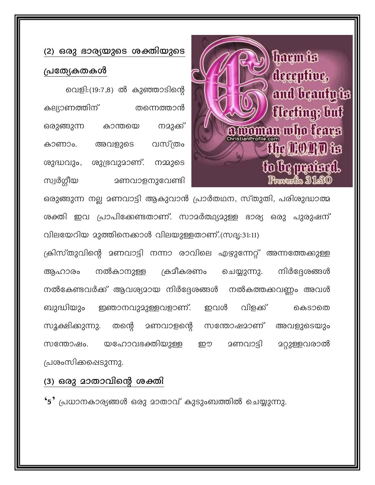## (2) ഒരു ഭാര്യയുടെ ശക്തിയുടെ പ്രത്യേകതകൾ

വെളി:(19:7,8) ൽ കുഞ്ഞാടിന്റെ കല്യാണത്തിന് തന്നെത്താൻ ഒരുങ്ങുന്ന കാന്തയെ നമുക്ക് വസ്ത്രം കാണാം. അവളുടെ ശുദ്ധവും, ശുഭ്രവുമാണ്. നമ്മുടെ സ്വർഗ്ഗീയ **മണവാളനുഭവണ്ടി** 



ഒരുങ്ങുന്ന നല്ല മണവാട്ടി ആകുവാൻ പ്രാർതഥന, സ്തുതി, പരിശുദ്ധാത്മ ശക്തി ഇവ പ്രാപിക്കേണ്ടതാണ്. സാമർത്ഥ്യമുള്ള ഭാര്യ ഒരു പുരുഷന് വിലയേറിയ മുത്തിനെക്കാൾ വിലയുള്ളതാണ്.(സദൃ:31:11)

ക്രിസ്തുവിന്റെ മണവാട്ടി നന്നാ രാവിലെ എഴുന്നേറ്റ് അന്നത്തേക്കുള്ള ക്ഷീകരണം നിർദ്ദേശങ്ങൾ നൽകാനുള്ള ചെയ്യുന്നു. ആഹാരം നൽകേണ്ടവർക്ക് ആവശ്യമായ നിർദ്ദേശങ്ങൾ നൽകത്തക്കവണ്ണം അവൾ ഇഞാനവുമുള്ളവളാണ്. വിളക്ക് ബുദ്ധിയും ഇവൾ കെടാതെ സൂക്ഷിക്കുന്നു. തന്റെ മണവാളന്റെ സന്തോഷമാണ് അവളുടെയും യഹോവഭക്തിയുള്ള <u> ദണവാട്ടി ദറ്റുള്ളവരാൽ</u> സന്തോഷം. ഈ പ്രശംസിക്കഷെടുന്നു.

#### (3) ഒരു മാതാവിന്റെ ശക്തി

 $\cdot$ 5 $^{\circ}$  പ്രധാനകാര്യങ്ങൾ ഒരു മാതാവ് കുടുംബത്തിൽ ചെയ്യുന്നു.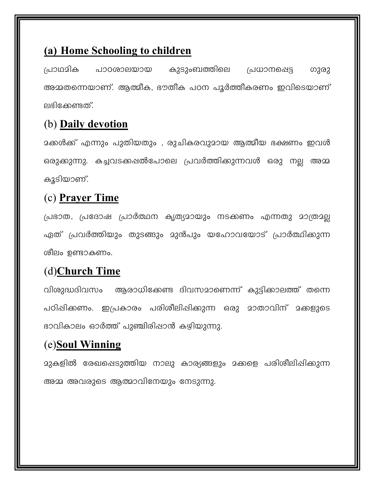#### (a) Home Schooling to children

പ്രാഥമിക കുടുംബത്തിലെ പാഠശാലയായ പ്രധാനപ്പെട്ട ഗുരു അമ്മതന്നെയാണ്. ആത്മീക, ഭൗതീക പഠന പൂർത്തീകരണം ഇവിടെയാണ് ലഭിക്കേണ്ടത്.

#### (b) Daily devotion

<u> </u>ഒകൾക്ക് എന്നും പുതിയതും , രുചികരവുമായ ആത്മീയ ഭക്ഷണം ഇവൾ ഒരുക്കുന്നു. കച്ചവടക്കഷൽപോലെ പ്രവർത്തിക്കുന്നവൾ ഒരു നല്ല അമ്മ കൂടിയാണ്.

#### (c) Prayer Time

പ്രഭാത, പ്രദോഷ പ്രാർത്ഥന കൃത്യമായും നടക്കണം എന്നതു മാത്രമല്ല ഏത് പ്രവർത്തിയും തുടങ്ങും മുൻപും യഹോവയോട് പ്രാർത്ഥിക്കുന്ന ശീലം ഉണ്ടാകണം.

### (d)Church Time

വിശുദ്ധദിവസം ആരാധിക്കേണ്ട ദിവസമാണെന്ന് കുട്ടിക്കാലത്ത് തന്നെ പഠിപ്പിക്കണം. ഇപ്രകാരം പരിശീലിപ്പിക്കുന്ന ഒരു മാതാവിന് മക്കളുടെ ഭാവികാലം ഓർത്ത് പുഞ്ചിരിഷാൻ കഴിയുന്നു.

### (e)Soul Winning

മുകളിൽ രേഖപ്പെടുത്തിയ നാലു കാര്യങ്ങളും മക്കളെ പരിശീലിപ്പിക്കുന്ന അമ്മ അവരുടെ ആത്മാവിനേയും നേടുന്നു.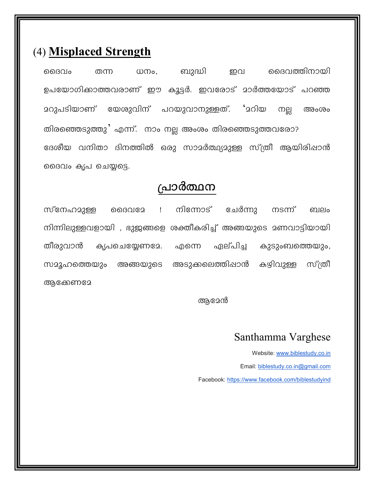#### (4) Misplaced Strength

മൈവത്തിനായി മൈവം ധനം, ബുദ്ധി ഇവ തന്ന ഉപയോഗിക്കാത്തവരാണ് ഈ കൂട്ടർ. ഇവരോട് മാർത്തയോട് പറഞ്ഞ <u> മറുപടിയാണ്</u> യേശുവിന് പറയുവാനുള്ളത്. 'മറിയ നല്ല അംശം തിരഞ്ഞെടുത്തു' എന്ന്. നാം നല്ല അംശം തിരഞ്ഞെടുത്തവരോ? ദേശീയ വനിതാ ദിനത്തിൽ ഒരു സാമർത്ഥ്യമുള്ള സ്ത്രീ ആയിരിപ്പാൻ ദൈവം കൃപ ചെയ്യട്ടെ.

#### പ്രാർത്ഥന

സ്നേഹമുള്ള  $\mathbf{I}$ നിന്നോട് ചേർന്നു നടന്ന് ൈവദേ ബലം നിന്നിലുള്ളവളായി , ഭുജങ്ങളെ ശക്തീകരിച്ച് അങ്ങയുടെ മണവാട്ടിയായി തീരുവാൻ കൃപചെയ്യേണമേ. ഏല്പിച്ച കുടുംബത്തെയും, എന്നെ സമൂഹത്തെയും അങ്ങയുടെ അടുക്കലെത്തിഷാൻ കഴിവുള്ള സ്ത്രീ ആക്കേണമേ

ആമേൻ

#### Santhamma Varghese

Website: www.biblestudy.co.in Email: biblestudy.co.in@gmail.com Facebook: https://www.facebook.com/biblestudyind